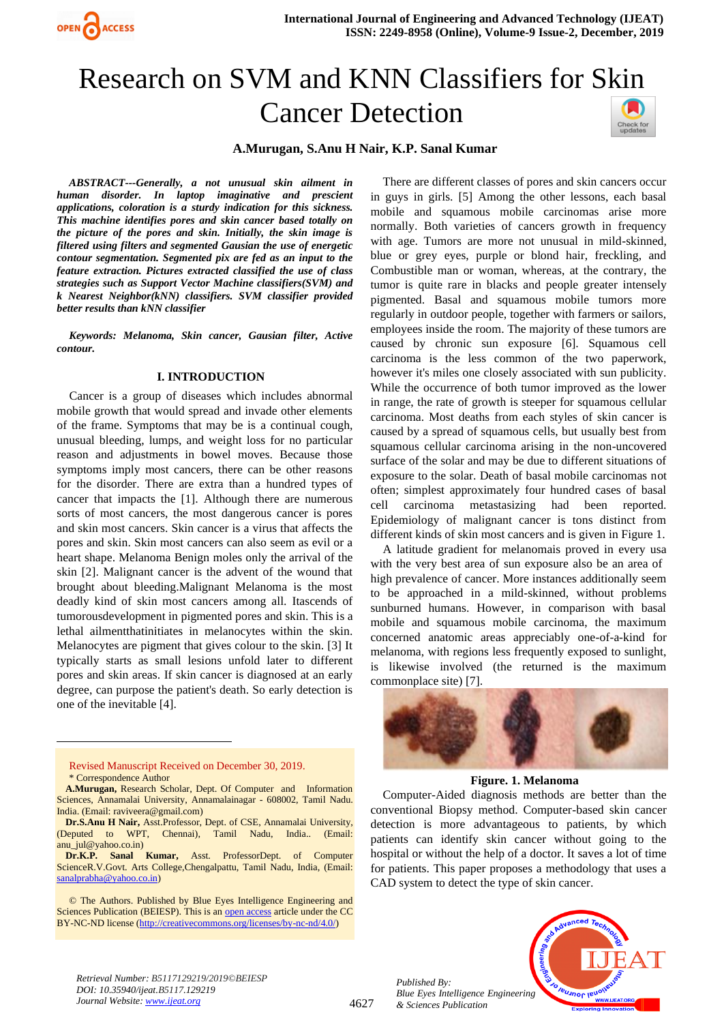

# Research on SVM and KNN Classifiers for Skin Cancer Detection



# **A.Murugan, S.Anu H Nair, K.P. Sanal Kumar**

*ABSTRACT---Generally, a not unusual skin ailment in human disorder. In laptop imaginative and prescient applications, coloration is a sturdy indication for this sickness. This machine identifies pores and skin cancer based totally on the picture of the pores and skin. Initially, the skin image is filtered using filters and segmented Gausian the use of energetic contour segmentation. Segmented pix are fed as an input to the feature extraction. Pictures extracted classified the use of class strategies such as Support Vector Machine classifiers(SVM) and k Nearest Neighbor(kNN) classifiers. SVM classifier provided better results than kNN classifier*

*Keywords: Melanoma, Skin cancer, Gausian filter, Active contour.*

#### **I. INTRODUCTION**

Cancer is a group of diseases which includes abnormal mobile growth that would spread and invade other elements of the frame. Symptoms that may be is a continual cough, unusual bleeding, lumps, and weight loss for no particular reason and adjustments in bowel moves. Because those symptoms imply most cancers, there can be other reasons for the disorder. There are extra than a hundred types of cancer that impacts the [1]. Although there are numerous sorts of most cancers, the most dangerous cancer is pores and skin most cancers. Skin cancer is a virus that affects the pores and skin. Skin most cancers can also seem as evil or a heart shape. Melanoma Benign moles only the arrival of the skin [2]. Malignant cancer is the advent of the wound that brought about bleeding.Malignant Melanoma is the most deadly kind of skin most cancers among all. Itascends of tumorousdevelopment in pigmented pores and skin. This is a lethal ailmentthatinitiates in melanocytes within the skin. Melanocytes are pigment that gives colour to the skin. [3] It typically starts as small lesions unfold later to different pores and skin areas. If skin cancer is diagnosed at an early degree, can purpose the patient's death. So early detection is one of the inevitable [4].



- **A.Murugan,** Research Scholar, Dept. Of Computer and Information Sciences, Annamalai University, Annamalainagar - 608002, Tamil Nadu. India. (Email: raviveera@gmail.com)
- **Dr.S.Anu H Nair,** Asst.Professor, Dept. of CSE, Annamalai University, (Deputed to WPT, Chennai), Tamil Nadu, India.. (Email: anu\_jul@yahoo.co.in)
- **Dr.K.P. Sanal Kumar,** Asst. ProfessorDept. of Computer ScienceR.V.Govt. Arts College,Chengalpattu, Tamil Nadu, India, (Email: [sanalprabha@yahoo.co.in\)](mailto:sanalprabha@yahoo.co.in)

There are different classes of pores and skin cancers occur in guys in girls. [5] Among the other lessons, each basal mobile and squamous mobile carcinomas arise more normally. Both varieties of cancers growth in frequency with age. Tumors are more not unusual in mild-skinned, blue or grey eyes, purple or blond hair, freckling, and Combustible man or woman, whereas, at the contrary, the tumor is quite rare in blacks and people greater intensely pigmented. Basal and squamous mobile tumors more regularly in outdoor people, together with farmers or sailors, employees inside the room. The majority of these tumors are caused by chronic sun exposure [6]. Squamous cell carcinoma is the less common of the two paperwork, however it's miles one closely associated with sun publicity. While the occurrence of both tumor improved as the lower in range, the rate of growth is steeper for squamous cellular carcinoma. Most deaths from each styles of skin cancer is caused by a spread of squamous cells, but usually best from squamous cellular carcinoma arising in the non-uncovered surface of the solar and may be due to different situations of exposure to the solar. Death of basal mobile carcinomas not often; simplest approximately four hundred cases of basal cell carcinoma metastasizing had been reported. Epidemiology of malignant cancer is tons distinct from different kinds of skin most cancers and is given in Figure 1.

A latitude gradient for melanomais proved in every usa with the very best area of sun exposure also be an area of high prevalence of cancer. More instances additionally seem to be approached in a mild-skinned, without problems sunburned humans. However, in comparison with basal mobile and squamous mobile carcinoma, the maximum concerned anatomic areas appreciably one-of-a-kind for melanoma, with regions less frequently exposed to sunlight, is likewise involved (the returned is the maximum commonplace site) [7].



**Figure. 1. Melanoma**

Computer-Aided diagnosis methods are better than the conventional Biopsy method. Computer-based skin cancer detection is more advantageous to patients, by which patients can identify skin cancer without going to the hospital or without the help of a doctor. It saves a lot of time for patients. This paper proposes a methodology that uses a CAD system to detect the type of skin cancer.



*Retrieval Number: B5117129219/2019©BEIESP DOI: 10.35940/ijeat.B5117.129219 Journal Website[: www.ijeat.org](http://www.ijeat.org/)*

*Published By:*

*& Sciences Publication* 

<sup>©</sup> The Authors. Published by Blue Eyes Intelligence Engineering and Sciences Publication (BEIESP). This is an [open access](https://www.openaccess.nl/en/open-publications) article under the CC BY-NC-ND license [\(http://creativecommons.org/licenses/by-nc-nd/4.0/\)](http://creativecommons.org/licenses/by-nc-nd/4.0/)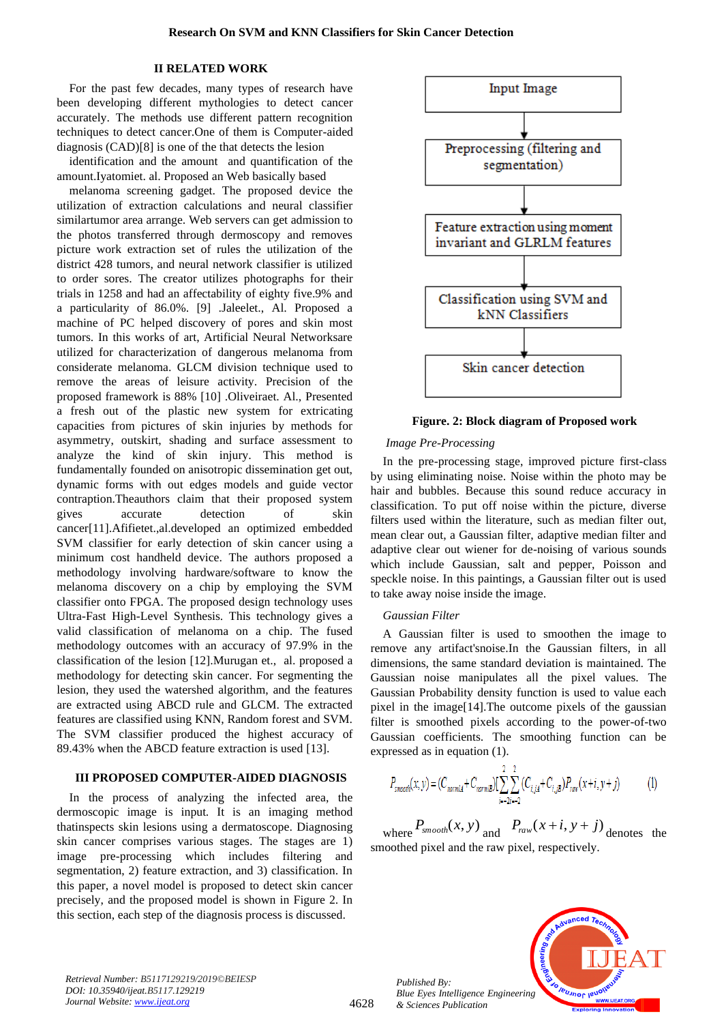# **II RELATED WORK**

For the past few decades, many types of research have been developing different mythologies to detect cancer accurately. The methods use different pattern recognition techniques to detect cancer.One of them is Computer-aided diagnosis (CAD)[8] is one of the that detects the lesion

identification and the amount and quantification of the amount.Iyatomiet. al. Proposed an Web basically based

melanoma screening gadget. The proposed device the utilization of extraction calculations and neural classifier similartumor area arrange. Web servers can get admission to the photos transferred through dermoscopy and removes picture work extraction set of rules the utilization of the district 428 tumors, and neural network classifier is utilized to order sores. The creator utilizes photographs for their trials in 1258 and had an affectability of eighty five.9% and a particularity of 86.0%. [9] .Jaleelet., Al. Proposed a machine of PC helped discovery of pores and skin most tumors. In this works of art, Artificial Neural Networksare utilized for characterization of dangerous melanoma from considerate melanoma. GLCM division technique used to remove the areas of leisure activity. Precision of the proposed framework is 88% [10] .Oliveiraet. Al., Presented a fresh out of the plastic new system for extricating capacities from pictures of skin injuries by methods for asymmetry, outskirt, shading and surface assessment to analyze the kind of skin injury. This method is fundamentally founded on anisotropic dissemination get out, dynamic forms with out edges models and guide vector contraption.Theauthors claim that their proposed system gives accurate detection of skin cancer[11].Afifietet.,al.developed an optimized embedded SVM classifier for early detection of skin cancer using a minimum cost handheld device. The authors proposed a methodology involving hardware/software to know the melanoma discovery on a chip by employing the SVM classifier onto FPGA. The proposed design technology uses Ultra-Fast High-Level Synthesis. This technology gives a valid classification of melanoma on a chip. The fused methodology outcomes with an accuracy of 97.9% in the classification of the lesion [12].Murugan et., al. proposed a methodology for detecting skin cancer. For segmenting the lesion, they used the watershed algorithm, and the features are extracted using ABCD rule and GLCM. The extracted features are classified using KNN, Random forest and SVM. The SVM classifier produced the highest accuracy of 89.43% when the ABCD feature extraction is used [13].

# **III PROPOSED COMPUTER-AIDED DIAGNOSIS**

In the process of analyzing the infected area, the dermoscopic image is input. It is an imaging method thatinspects skin lesions using a dermatoscope. Diagnosing skin cancer comprises various stages. The stages are 1) image pre-processing which includes filtering and segmentation, 2) feature extraction, and 3) classification. In this paper, a novel model is proposed to detect skin cancer precisely, and the proposed model is shown in Figure 2. In this section, each step of the diagnosis process is discussed.



**Figure. 2: Block diagram of Proposed work**

#### *Image Pre-Processing*

In the pre-processing stage, improved picture first-class by using eliminating noise. Noise within the photo may be hair and bubbles. Because this sound reduce accuracy in classification. To put off noise within the picture, diverse filters used within the literature, such as median filter out, mean clear out, a Gaussian filter, adaptive median filter and adaptive clear out wiener for de-noising of various sounds which include Gaussian, salt and pepper, Poisson and speckle noise. In this paintings, a Gaussian filter out is used to take away noise inside the image.

#### *Gaussian Filter*

A Gaussian filter is used to smoothen the image to remove any artifact'snoise.In the Gaussian filters, in all dimensions, the same standard deviation is maintained. The Gaussian noise manipulates all the pixel values. The Gaussian Probability density function is used to value each pixel in the image[14].The outcome pixels of the gaussian filter is smoothed pixels according to the power-of-two Gaussian coefficients. The smoothing function can be expressed as in equation (1).

$$
P_{smooth}(x, y) = (C_{normal} + C_{normal}) \sum_{i=2i-2}^{2} (C_{i,j4} + C_{i,jB}) P_{raw}(x+i, y+j)
$$
(1)

where  $P_{\text{smooth}}(x, y)$  and  $P_{\text{raw}}(x + i, y + j)$  denotes the smoothed pixel and the raw pixel, respectively.



*Retrieval Number: B5117129219/2019©BEIESP DOI: 10.35940/ijeat.B5117.129219 Journal Website[: www.ijeat.org](http://www.ijeat.org/)*

4628

*Published By: Blue Eyes Intelligence Engineering & Sciences Publication*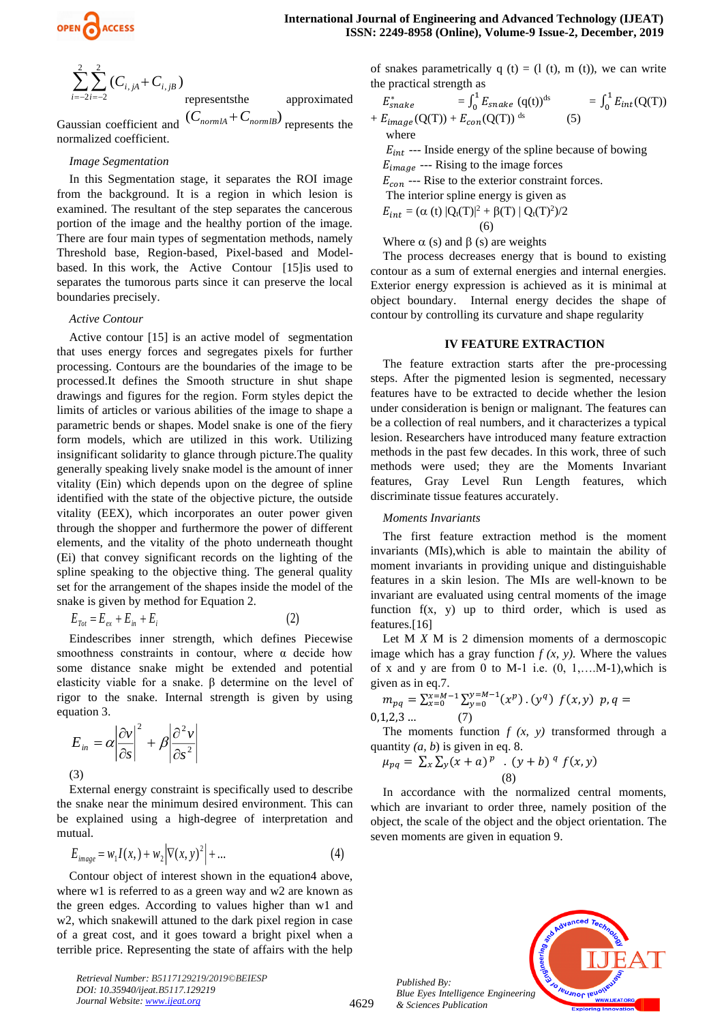$$
\sum_{i=-2}^{2} \sum_{i=-2}^{2} (C_{i,jA} + C_{i,jB})
$$
 represents the approximate  
(*C* + *C* -)

Gaussian coefficient and  $(C_{normalA} + C_{normalB})$  represents the normalized coefficient.

# *Image Segmentation*

In this Segmentation stage, it separates the ROI image from the background. It is a region in which lesion is examined. The resultant of the step separates the cancerous portion of the image and the healthy portion of the image. There are four main types of segmentation methods, namely Threshold base, Region-based, Pixel-based and Modelbased. In this work, the Active Contour [15]is used to separates the tumorous parts since it can preserve the local boundaries precisely.

## *Active Contour*

Active contour [15] is an active model of segmentation that uses energy forces and segregates pixels for further processing. Contours are the boundaries of the image to be processed.It defines the Smooth structure in shut shape drawings and figures for the region. Form styles depict the limits of articles or various abilities of the image to shape a parametric bends or shapes. Model snake is one of the fiery form models, which are utilized in this work. Utilizing insignificant solidarity to glance through picture.The quality generally speaking lively snake model is the amount of inner vitality (Ein) which depends upon on the degree of spline identified with the state of the objective picture, the outside vitality (EEX), which incorporates an outer power given through the shopper and furthermore the power of different elements, and the vitality of the photo underneath thought (Ei) that convey significant records on the lighting of the spline speaking to the objective thing. The general quality set for the arrangement of the shapes inside the model of the snake is given by method for Equation 2.

$$
E_{\text{Tot}} = E_{\text{ex}} + E_{\text{in}} + E_i \tag{2}
$$

Eindescribes inner strength, which defines Piecewise smoothness constraints in contour, where  $\alpha$  decide how some distance snake might be extended and potential elasticity viable for a snake. β determine on the level of rigor to the snake. Internal strength is given by using equation 3.

$$
E_{in} = \alpha \left| \frac{\partial v}{\partial s} \right|^2 + \beta \left| \frac{\partial^2 v}{\partial s^2} \right|
$$
\n(3)

External energy constraint is specifically used to describe the snake near the minimum desired environment. This can be explained using a high-degree of interpretation and mutual.

$$
E_{image} = w_1 I(x, ) + w_2 \Big| \nabla(x, y)^2 \Big| + \dots
$$
 (4)

Contour object of interest shown in the equation4 above, where w1 is referred to as a green way and w2 are known as the green edges. According to values higher than w1 and w2, which snakewill attuned to the dark pixel region in case of a great cost, and it goes toward a bright pixel when a terrible price. Representing the state of affairs with the help of snakes parametrically  $q(t) = (l(t), m(t))$ , we can write the practical strength as

$$
E_{snake}^{*} = \int_{0}^{1} E_{snake} (q(t))^{ds} = \int_{0}^{1} E_{int} (Q(T)) + E_{longe} (Q(T)) + E_{con} (Q(T))^{ds}
$$
 (5)

where  $E_{int}$  --- Inside energy of the spline because of bowing

 $E_{image}$  --- Rising to the image forces

 $E_{con}$  --- Rise to the exterior constraint forces.

The interior spline energy is given as  $E_{int} = (\alpha (t) |Q_t(T)|^2 + \beta(T) | Q_t(T)^2)/2$ 

(6)

$$
\mathsf{R}(t)
$$

Where  $\alpha$  (s) and  $\beta$  (s) are weights

The process decreases energy that is bound to existing contour as a sum of external energies and internal energies. Exterior energy expression is achieved as it is minimal at object boundary. Internal energy decides the shape of contour by controlling its curvature and shape regularity

## **IV FEATURE EXTRACTION**

The feature extraction starts after the pre-processing steps. After the pigmented lesion is segmented, necessary features have to be extracted to decide whether the lesion under consideration is benign or malignant. The features can be a collection of real numbers, and it characterizes a typical lesion. Researchers have introduced many feature extraction methods in the past few decades. In this work, three of such methods were used; they are the Moments Invariant features, Gray Level Run Length features, which discriminate tissue features accurately.

## *Moments Invariants*

The first feature extraction method is the moment invariants (MIs),which is able to maintain the ability of moment invariants in providing unique and distinguishable features in a skin lesion. The MIs are well-known to be invariant are evaluated using central moments of the image function  $f(x, y)$  up to third order, which is used as features.[16]

Let M *X* M is 2 dimension moments of a dermoscopic image which has a gray function  $f(x, y)$ . Where the values of x and y are from 0 to M-1 i.e.  $(0, 1, \ldots M-1)$ , which is given as in eq.7.

$$
m_{pq} = \sum_{x=0}^{x=M-1} \sum_{y=0}^{y=M-1} (x^p) \cdot (y^q) f(x, y) p, q = 0, 1, 2, 3 \dots (7)
$$

The moments function  $f(x, y)$  transformed through a quantity *(a, b*) is given in eq. 8.

$$
\mu_{pq} = \sum_{x} \sum_{y} (x + a)^p \cdot (y + b)^q f(x, y) \tag{8}
$$

In accordance with the normalized central moments, which are invariant to order three, namely position of the object, the scale of the object and the object orientation. The seven moments are given in equation 9.



*Retrieval Number: B5117129219/2019©BEIESP DOI: 10.35940/ijeat.B5117.129219 Journal Website[: www.ijeat.org](http://www.ijeat.org/)*

*Published By: Blue Eyes Intelligence Engineering & Sciences Publication*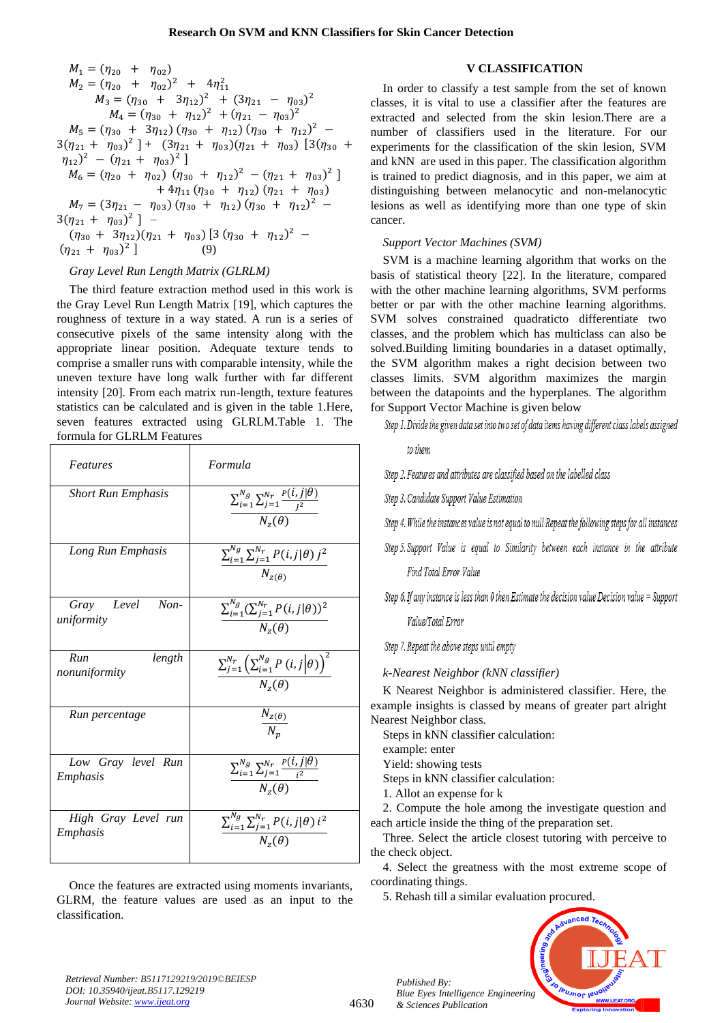$$
M_1 = (\eta_{20} + \eta_{02})
$$
  
\n
$$
M_2 = (\eta_{20} + \eta_{02})^2 + 4\eta_{11}^2
$$
  
\n
$$
M_3 = (\eta_{30} + 3\eta_{12})^2 + (3\eta_{21} - \eta_{03})^2
$$
  
\n
$$
M_4 = (\eta_{30} + \eta_{12})^2 + (\eta_{21} - \eta_{03})^2
$$
  
\n
$$
M_5 = (\eta_{30} + 3\eta_{12}) (\eta_{30} + \eta_{12}) (\eta_{30} + \eta_{12})^2 -
$$
  
\n
$$
3(\eta_{21} + \eta_{03})^2] + (3\eta_{21} + \eta_{03}) (\eta_{21} + \eta_{03}) [3(\eta_{30} + \eta_{12})^2 - (\eta_{21} + \eta_{03})^2]
$$
  
\n
$$
M_6 = (\eta_{20} + \eta_{02}) (\eta_{30} + \eta_{12})^2 - (\eta_{21} + \eta_{03})^2 ] + 4\eta_{11} (\eta_{30} + \eta_{12}) (\eta_{21} + \eta_{03})
$$
  
\n
$$
M_7 = (3\eta_{21} - \eta_{03}) (\eta_{30} + \eta_{12}) (\eta_{30} + \eta_{12})^2 -
$$
  
\n
$$
3(\eta_{21} + \eta_{03})^2] -
$$
  
\n
$$
(\eta_{30} + 3\eta_{12}) (\eta_{21} + \eta_{03}) [3 (\eta_{30} + \eta_{12})^2 -
$$
  
\n
$$
(\eta_{21} + \eta_{03})^2] (9)
$$

# *Gray Level Run Length Matrix (GLRLM)*

The third feature extraction method used in this work is the Gray Level Run Length Matrix [19], which captures the roughness of texture in a way stated. A run is a series of consecutive pixels of the same intensity along with the appropriate linear position. Adequate texture tends to comprise a smaller runs with comparable intensity, while the uneven texture have long walk further with far different intensity [20]. From each matrix run-length, texture features statistics can be calculated and is given in the table 1.Here, seven features extracted using GLRLM.Table 1. The formula for GLRLM Features

| Features                           | Formula                                                                                  |  |  |
|------------------------------------|------------------------------------------------------------------------------------------|--|--|
| <b>Short Run Emphasis</b>          | $\frac{\sum_{i=1}^{N_g}\sum_{j=1}^{N_r}\frac{P(i,j \theta)}{j^2}}{P}$<br>$N_{z}(\theta)$ |  |  |
| Long Run Emphasis                  | $\sum_{i=1}^{N_g} \sum_{j=1}^{N_r} P(i,j \theta) j^2$<br>$N_{Z(\theta)}$                 |  |  |
| Gray Level<br>$Non-$<br>uniformity | $\sum_{i=1}^{N_g} (\sum_{j=1}^{N_r} P(i,j \theta))^2$<br>$N_z(\theta)$                   |  |  |
| Run<br>length<br>nonuniformity     | $\sum_{j=1}^{N_r} \left( \sum_{i=1}^{N_g} P(i,j   \theta) \right)^2$<br>$N_z(\theta)$    |  |  |
| Run percentage                     | $\frac{N_{z(\theta)}}{N_p}$                                                              |  |  |
| Low Gray level Run<br>Emphasis     | $\sum_{i=1}^{N_g} \sum_{j=1}^{N_r} \frac{P(i,j \theta)}{i^2}$<br>$N_{-}(\theta)$         |  |  |
| High Gray Level run<br>Emphasis    | $\sum_{i=1}^{N_g}\sum_{j=1}^{N_r}P(i,j \theta)\,i^2$<br>$N_z(\theta)$                    |  |  |

Once the features are extracted using moments invariants, GLRM, the feature values are used as an input to the classification.

# **V CLASSIFICATION**

In order to classify a test sample from the set of known classes, it is vital to use a classifier after the features are extracted and selected from the skin lesion.There are a number of classifiers used in the literature. For our experiments for the classification of the skin lesion, SVM and kNN are used in this paper. The classification algorithm is trained to predict diagnosis, and in this paper, we aim at distinguishing between melanocytic and non-melanocytic lesions as well as identifying more than one type of skin cancer.

# *Support Vector Machines (SVM)*

SVM is a machine learning algorithm that works on the basis of statistical theory [22]. In the literature, compared with the other machine learning algorithms, SVM performs better or par with the other machine learning algorithms. SVM solves constrained quadraticto differentiate two classes, and the problem which has multiclass can also be solved.Building limiting boundaries in a dataset optimally, the SVM algorithm makes a right decision between two classes limits. SVM algorithm maximizes the margin between the datapoints and the hyperplanes. The algorithm for Support Vector Machine is given below

Step 1. Divide the given data set into two set of data items having different class labels assigned

to them

Step 2. Features and attributes are classified based on the labelled class

Step 3. Candidate Support Value Estimation

Step 4. While the instances value is not equal to null Repeat the following steps for all instances

Step 5. Support Value is equal to Similarity between each instance in the attribute Find Total Error Value

Step 6. If any instance is less than 0 then Estimate the decision value Decision value = Support

Value/Total Error

Step 7. Repeat the above steps until empty

*k-Nearest Neighbor (kNN classifier)*

K Nearest Neighbor is administered classifier. Here, the example insights is classed by means of greater part alright Nearest Neighbor class.

Steps in kNN classifier calculation:

example: enter

Yield: showing tests

Steps in kNN classifier calculation:

1. Allot an expense for k

2. Compute the hole among the investigate question and each article inside the thing of the preparation set.

Three. Select the article closest tutoring with perceive to the check object.

4. Select the greatness with the most extreme scope of coordinating things.

5. Rehash till a similar evaluation procured.



*Retrieval Number: B5117129219/2019©BEIESP DOI: 10.35940/ijeat.B5117.129219 Journal Website[: www.ijeat.org](http://www.ijeat.org/)*

*Published By: Blue Eyes Intelligence Engineering & Sciences Publication*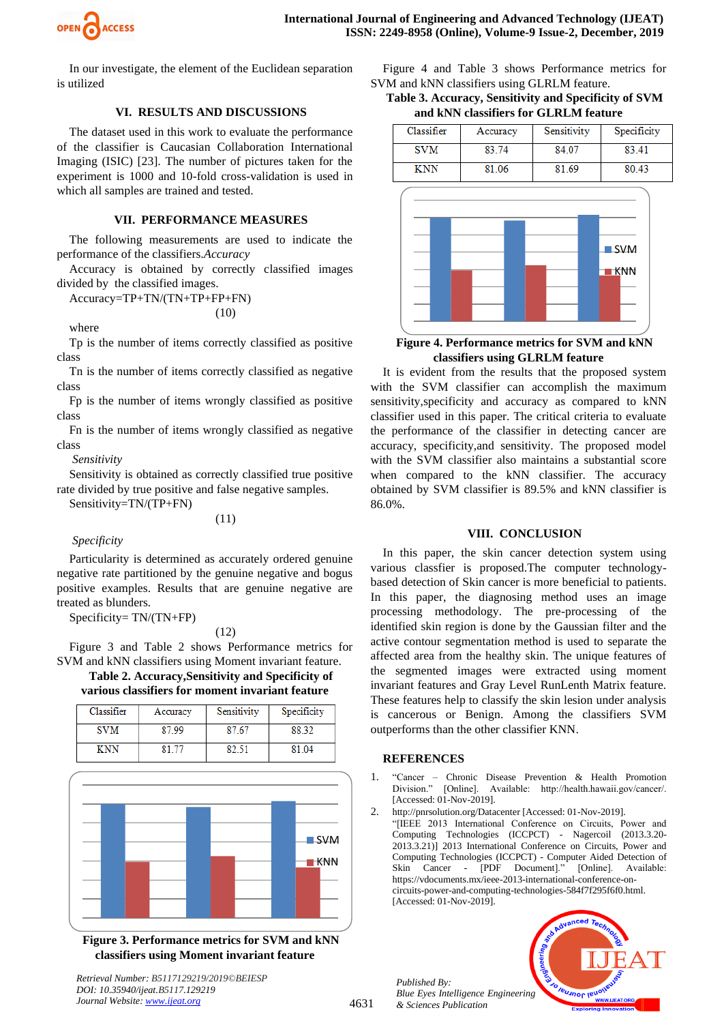

In our investigate, the element of the Euclidean separation is utilized

# **VI. RESULTS AND DISCUSSIONS**

The dataset used in this work to evaluate the performance of the classifier is Caucasian Collaboration International Imaging (ISIC) [23]. The number of pictures taken for the experiment is 1000 and 10-fold cross-validation is used in which all samples are trained and tested.

#### **VII. PERFORMANCE MEASURES**

The following measurements are used to indicate the performance of the classifiers.*Accuracy*

Accuracy is obtained by correctly classified images divided by the classified images.

Accuracy=TP+TN/(TN+TP+FP+FN) (10)

where

Tp is the number of items correctly classified as positive class

Tn is the number of items correctly classified as negative class

Fp is the number of items wrongly classified as positive class

Fn is the number of items wrongly classified as negative class

*Sensitivity*

Sensitivity is obtained as correctly classified true positive rate divided by true positive and false negative samples.

Sensitivity=TN/(TP+FN)

(11)

#### *Specificity*

Particularity is determined as accurately ordered genuine negative rate partitioned by the genuine negative and bogus positive examples. Results that are genuine negative are treated as blunders.

Specificity= TN/(TN+FP)

(12)

Figure 3 and Table 2 shows Performance metrics for SVM and kNN classifiers using Moment invariant feature.

# **Table 2. Accuracy,Sensitivity and Specificity of various classifiers for moment invariant feature**

| Classifier | Accuracy | Sensitivity | Specificity |
|------------|----------|-------------|-------------|
| <b>SVM</b> | 87.99    | 87.67       | 88.32       |
| KNN        | 21 77    | RO 51       | 81 04       |



**Figure 3. Performance metrics for SVM and kNN classifiers using Moment invariant feature**

*Retrieval Number: B5117129219/2019©BEIESP DOI: 10.35940/ijeat.B5117.129219*

*Journal Website[: www.ijeat.org](http://www.ijeat.org/)*

Figure 4 and Table 3 shows Performance metrics for SVM and kNN classifiers using GLRLM feature.

**Table 3. Accuracy, Sensitivity and Specificity of SVM and kNN classifiers for GLRLM feature**



## **Figure 4. Performance metrics for SVM and kNN classifiers using GLRLM feature**

It is evident from the results that the proposed system with the SVM classifier can accomplish the maximum sensitivity,specificity and accuracy as compared to kNN classifier used in this paper. The critical criteria to evaluate the performance of the classifier in detecting cancer are accuracy, specificity,and sensitivity. The proposed model with the SVM classifier also maintains a substantial score when compared to the kNN classifier. The accuracy obtained by SVM classifier is 89.5% and kNN classifier is 86.0%.

# **VIII. CONCLUSION**

In this paper, the skin cancer detection system using various classfier is proposed.The computer technologybased detection of Skin cancer is more beneficial to patients. In this paper, the diagnosing method uses an image processing methodology. The pre-processing of the identified skin region is done by the Gaussian filter and the active contour segmentation method is used to separate the affected area from the healthy skin. The unique features of the segmented images were extracted using moment invariant features and Gray Level RunLenth Matrix feature. These features help to classify the skin lesion under analysis is cancerous or Benign. Among the classifiers SVM outperforms than the other classifier KNN.

#### **REFERENCES**

- 1. "Cancer Chronic Disease Prevention & Health Promotion Division." [Online]. Available: http://health.hawaii.gov/cancer/. [Accessed: 01-Nov-2019].
- http://pnrsolution.org/Datacenter [Accessed: 01-Nov-2019].

"[IEEE 2013 International Conference on Circuits, Power and Computing Technologies (ICCPCT) - Nagercoil (2013.3.20- 2013.3.21)] 2013 International Conference on Circuits, Power and Computing Technologies (ICCPCT) - Computer Aided Detection of Skin Cancer - [PDF Document]." [Online]. Available: https://vdocuments.mx/ieee-2013-international-conference-oncircuits-power-and-computing-technologies-584f7f295f6f0.html. [Accessed: 01-Nov-2019].

*Published By: Blue Eyes Intelligence Engineering & Sciences Publication* 

4631